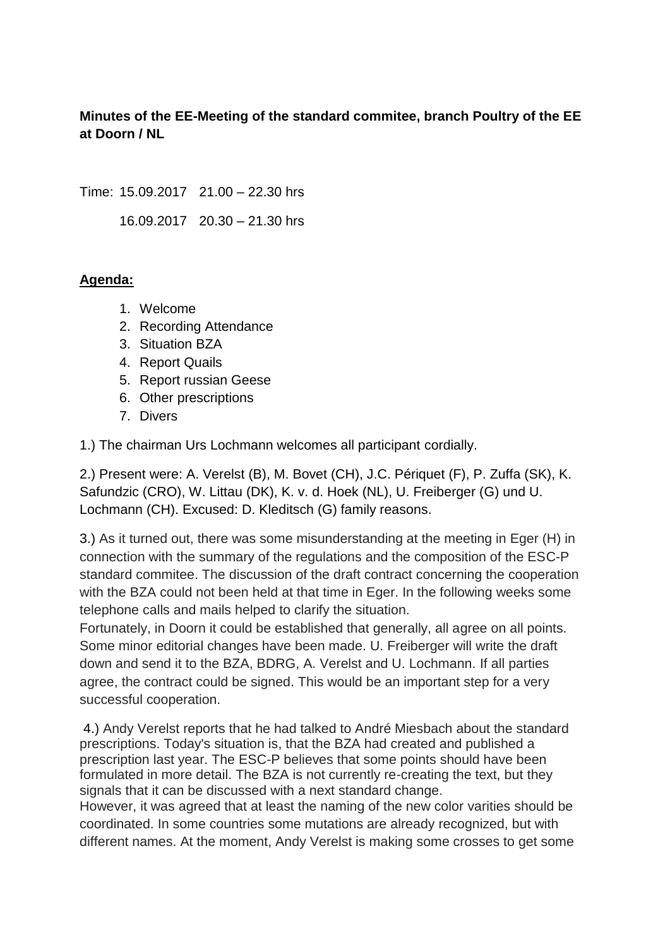## **Minutes of the EE-Meeting of the standard commitee, branch Poultry of the EE at Doorn / NL**

Time: 15.09.2017 21.00 – 22.30 hrs

16.09.2017 20.30 – 21.30 hrs

## **Agenda:**

- 1. Welcome
- 2. Recording Attendance
- 3. Situation BZA
- 4. Report Quails
- 5. Report russian Geese
- 6. Other prescriptions
- 7. Divers

1.) The chairman Urs Lochmann welcomes all participant cordially.

2.) Present were: A. Verelst (B), M. Bovet (CH), J.C. Périquet (F), P. Zuffa (SK), K. Safundzic (CRO), W. Littau (DK), K. v. d. Hoek (NL), U. Freiberger (G) und U. Lochmann (CH). Excused: D. Kleditsch (G) family reasons.

3.) As it turned out, there was some misunderstanding at the meeting in Eger (H) in connection with the summary of the regulations and the composition of the ESC-P standard commitee. The discussion of the draft contract concerning the cooperation with the BZA could not been held at that time in Eger. In the following weeks some telephone calls and mails helped to clarify the situation.

Fortunately, in Doorn it could be established that generally, all agree on all points. Some minor editorial changes have been made. U. Freiberger will write the draft down and send it to the BZA, BDRG, A. Verelst and U. Lochmann. If all parties agree, the contract could be signed. This would be an important step for a very successful cooperation.

4.) Andy Verelst reports that he had talked to André Miesbach about the standard prescriptions. Today's situation is, that the BZA had created and published a prescription last year. The ESC-P believes that some points should have been formulated in more detail. The BZA is not currently re-creating the text, but they signals that it can be discussed with a next standard change.

However, it was agreed that at least the naming of the new color varities should be coordinated. In some countries some mutations are already recognized, but with different names. At the moment, Andy Verelst is making some crosses to get some